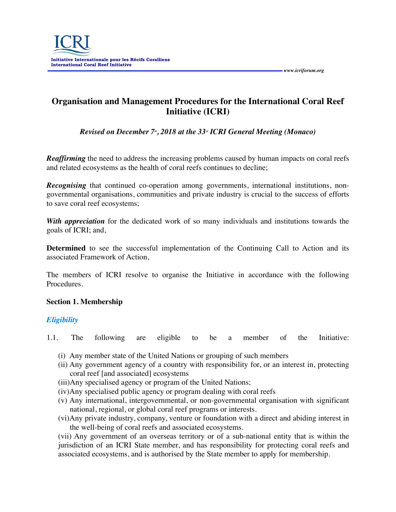

# **Organisation and Management Procedures for the International Coral Reef Initiative (ICRI)**

 *www.icriforum.org* 

*Revised on December 7<sup>th</sup>, 2018 at the 33<sup>th</sup> <i>ICRI General Meeting (Monaco)* 

*Reaffirming* the need to address the increasing problems caused by human impacts on coral reefs and related ecosystems as the health of coral reefs continues to decline;

*Recognising* that continued co-operation among governments, international institutions, nongovernmental organisations, communities and private industry is crucial to the success of efforts to save coral reef ecosystems;

*With appreciation* for the dedicated work of so many individuals and institutions towards the goals of ICRI; and,

**Determined** to see the successful implementation of the Continuing Call to Action and its associated Framework of Action,

The members of ICRI resolve to organise the Initiative in accordance with the following Procedures.

### **Section 1. Membership**

## *Eligibility*

1.1. The following are eligible to be a member of the Initiative:

- (i) Any member state of the United Nations or grouping of such members
- (ii) Any government agency of a country with responsibility for, or an interest in, protecting coral reef [and associated] ecosystems
- (iii)Any specialised agency or program of the United Nations;
- (iv)Any specialised public agency or program dealing with coral reefs
- (v) Any international, intergovernmental, or non-governmental organisation with significant national, regional, or global coral reef programs or interests.
- (vi)Any private industry, company, venture or foundation with a direct and abiding interest in the well-being of coral reefs and associated ecosystems.

(vii) Any government of an overseas territory or of a sub-national entity that is within the jurisdiction of an ICRI State member, and has responsibility for protecting coral reefs and associated ecosystems, and is authorised by the State member to apply for membership.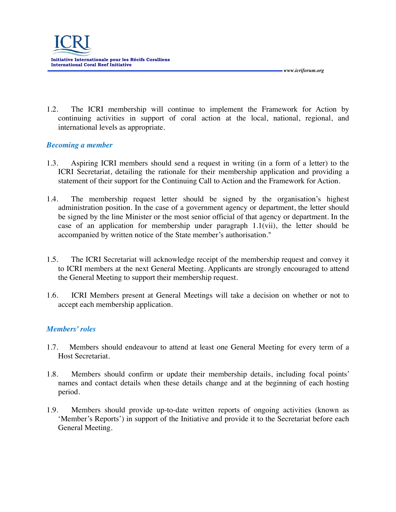1.2. The ICRI membership will continue to implement the Framework for Action by continuing activities in support of coral action at the local, national, regional, and international levels as appropriate.

 *www.icriforum.org* 

## *Becoming a member*

- 1.3. Aspiring ICRI members should send a request in writing (in a form of a letter) to the ICRI Secretariat, detailing the rationale for their membership application and providing a statement of their support for the Continuing Call to Action and the Framework for Action.
- 1.4. The membership request letter should be signed by the organisation's highest administration position. In the case of a government agency or department, the letter should be signed by the line Minister or the most senior official of that agency or department. In the case of an application for membership under paragraph 1.1(vii), the letter should be accompanied by written notice of the State member's authorisation."
- 1.5. The ICRI Secretariat will acknowledge receipt of the membership request and convey it to ICRI members at the next General Meeting. Applicants are strongly encouraged to attend the General Meeting to support their membership request.
- 1.6. ICRI Members present at General Meetings will take a decision on whether or not to accept each membership application.

## *Members' roles*

- 1.7. Members should endeavour to attend at least one General Meeting for every term of a Host Secretariat.
- 1.8. Members should confirm or update their membership details, including focal points' names and contact details when these details change and at the beginning of each hosting period.
- 1.9. Members should provide up-to-date written reports of ongoing activities (known as 'Member's Reports') in support of the Initiative and provide it to the Secretariat before each General Meeting.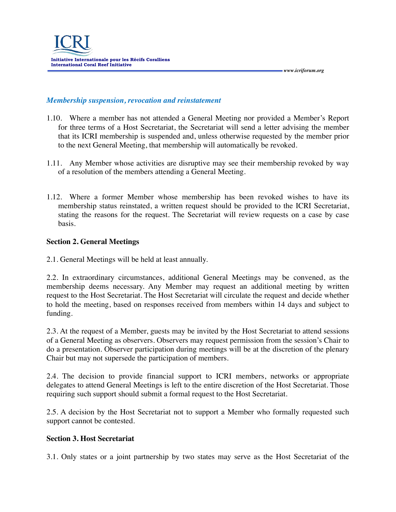#### *Membership suspension, revocation and reinstatement*

1.10. Where a member has not attended a General Meeting nor provided a Member's Report for three terms of a Host Secretariat, the Secretariat will send a letter advising the member that its ICRI membership is suspended and, unless otherwise requested by the member prior to the next General Meeting, that membership will automatically be revoked.

 *www.icriforum.org* 

- 1.11. Any Member whose activities are disruptive may see their membership revoked by way of a resolution of the members attending a General Meeting.
- 1.12. Where a former Member whose membership has been revoked wishes to have its membership status reinstated, a written request should be provided to the ICRI Secretariat, stating the reasons for the request. The Secretariat will review requests on a case by case basis.

#### **Section 2. General Meetings**

2.1. General Meetings will be held at least annually.

2.2. In extraordinary circumstances, additional General Meetings may be convened, as the membership deems necessary. Any Member may request an additional meeting by written request to the Host Secretariat. The Host Secretariat will circulate the request and decide whether to hold the meeting, based on responses received from members within 14 days and subject to funding.

2.3. At the request of a Member, guests may be invited by the Host Secretariat to attend sessions of a General Meeting as observers. Observers may request permission from the session's Chair to do a presentation. Observer participation during meetings will be at the discretion of the plenary Chair but may not supersede the participation of members.

2.4. The decision to provide financial support to ICRI members, networks or appropriate delegates to attend General Meetings is left to the entire discretion of the Host Secretariat. Those requiring such support should submit a formal request to the Host Secretariat.

2.5. A decision by the Host Secretariat not to support a Member who formally requested such support cannot be contested.

#### **Section 3. Host Secretariat**

3.1. Only states or a joint partnership by two states may serve as the Host Secretariat of the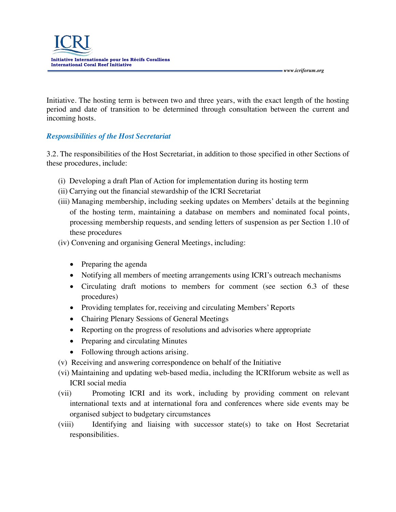Initiative. The hosting term is between two and three years, with the exact length of the hosting period and date of transition to be determined through consultation between the current and incoming hosts.

## *Responsibilities of the Host Secretariat*

3.2. The responsibilities of the Host Secretariat, in addition to those specified in other Sections of these procedures, include:

- (i) Developing a draft Plan of Action for implementation during its hosting term
- (ii) Carrying out the financial stewardship of the ICRI Secretariat
- (iii) Managing membership, including seeking updates on Members' details at the beginning of the hosting term, maintaining a database on members and nominated focal points, processing membership requests, and sending letters of suspension as per Section 1.10 of these procedures
- (iv) Convening and organising General Meetings, including:
	- Preparing the agenda
	- Notifying all members of meeting arrangements using ICRI's outreach mechanisms
	- Circulating draft motions to members for comment (see section 6.3 of these procedures)
	- Providing templates for, receiving and circulating Members' Reports
	- Chairing Plenary Sessions of General Meetings
	- Reporting on the progress of resolutions and advisories where appropriate
	- Preparing and circulating Minutes
	- Following through actions arising.
- (v) Receiving and answering correspondence on behalf of the Initiative
- (vi) Maintaining and updating web-based media, including the ICRIforum website as well as ICRI social media
- (vii) Promoting ICRI and its work, including by providing comment on relevant international texts and at international fora and conferences where side events may be organised subject to budgetary circumstances
- (viii) Identifying and liaising with successor state(s) to take on Host Secretariat responsibilities.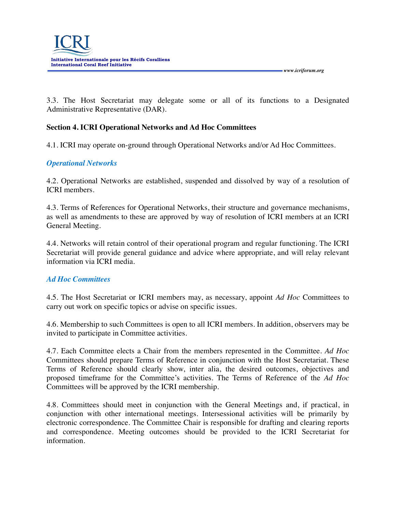*www.icriforum.org* 

3.3. The Host Secretariat may delegate some or all of its functions to a Designated Administrative Representative (DAR).

## **Section 4. ICRI Operational Networks and Ad Hoc Committees**

4.1. ICRI may operate on-ground through Operational Networks and/or Ad Hoc Committees.

## *Operational Networks*

4.2. Operational Networks are established, suspended and dissolved by way of a resolution of ICRI members.

4.3. Terms of References for Operational Networks, their structure and governance mechanisms, as well as amendments to these are approved by way of resolution of ICRI members at an ICRI General Meeting.

4.4. Networks will retain control of their operational program and regular functioning. The ICRI Secretariat will provide general guidance and advice where appropriate, and will relay relevant information via ICRI media.

### *Ad Hoc Committees*

4.5. The Host Secretariat or ICRI members may, as necessary, appoint *Ad Hoc* Committees to carry out work on specific topics or advise on specific issues.

4.6. Membership to such Committees is open to all ICRI members. In addition, observers may be invited to participate in Committee activities.

4.7. Each Committee elects a Chair from the members represented in the Committee. *Ad Hoc* Committees should prepare Terms of Reference in conjunction with the Host Secretariat. These Terms of Reference should clearly show, inter alia, the desired outcomes, objectives and proposed timeframe for the Committee's activities. The Terms of Reference of the *Ad Hoc* Committees will be approved by the ICRI membership.

4.8. Committees should meet in conjunction with the General Meetings and, if practical, in conjunction with other international meetings. Intersessional activities will be primarily by electronic correspondence. The Committee Chair is responsible for drafting and clearing reports and correspondence. Meeting outcomes should be provided to the ICRI Secretariat for information.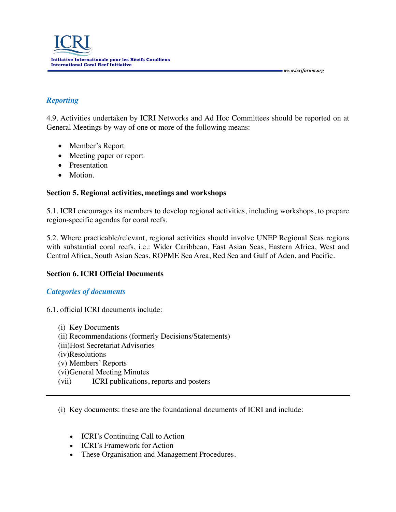## *Reporting*

4.9. Activities undertaken by ICRI Networks and Ad Hoc Committees should be reported on at General Meetings by way of one or more of the following means:

 *www.icriforum.org* 

- Member's Report
- Meeting paper or report
- Presentation
- Motion.

## **Section 5. Regional activities, meetings and workshops**

5.1. ICRI encourages its members to develop regional activities, including workshops, to prepare region-specific agendas for coral reefs.

5.2. Where practicable/relevant, regional activities should involve UNEP Regional Seas regions with substantial coral reefs, i.e.: Wider Caribbean, East Asian Seas, Eastern Africa, West and Central Africa, South Asian Seas, ROPME Sea Area, Red Sea and Gulf of Aden, and Pacific.

## **Section 6. ICRI Official Documents**

### *Categories of documents*

6.1. official ICRI documents include:

(i) Key Documents (ii) Recommendations (formerly Decisions/Statements) (iii)Host Secretariat Advisories (iv)Resolutions (v) Members' Reports (vi)General Meeting Minutes (vii) ICRI publications, reports and posters

(i) Key documents: these are the foundational documents of ICRI and include:

- ICRI's Continuing Call to Action
- ICRI's Framework for Action
- These Organisation and Management Procedures.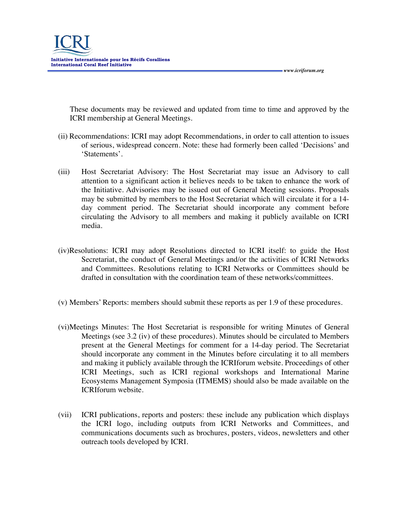These documents may be reviewed and updated from time to time and approved by the ICRI membership at General Meetings.

 *www.icriforum.org* 

- (ii) Recommendations: ICRI may adopt Recommendations, in order to call attention to issues of serious, widespread concern. Note: these had formerly been called 'Decisions' and 'Statements'.
- (iii) Host Secretariat Advisory: The Host Secretariat may issue an Advisory to call attention to a significant action it believes needs to be taken to enhance the work of the Initiative. Advisories may be issued out of General Meeting sessions. Proposals may be submitted by members to the Host Secretariat which will circulate it for a 14 day comment period. The Secretariat should incorporate any comment before circulating the Advisory to all members and making it publicly available on ICRI media.
- (iv)Resolutions: ICRI may adopt Resolutions directed to ICRI itself: to guide the Host Secretariat, the conduct of General Meetings and/or the activities of ICRI Networks and Committees. Resolutions relating to ICRI Networks or Committees should be drafted in consultation with the coordination team of these networks/committees.
- (v) Members' Reports: members should submit these reports as per 1.9 of these procedures.
- (vi)Meetings Minutes: The Host Secretariat is responsible for writing Minutes of General Meetings (see 3.2 (iv) of these procedures). Minutes should be circulated to Members present at the General Meetings for comment for a 14-day period. The Secretariat should incorporate any comment in the Minutes before circulating it to all members and making it publicly available through the ICRIforum website. Proceedings of other ICRI Meetings, such as ICRI regional workshops and International Marine Ecosystems Management Symposia (ITMEMS) should also be made available on the ICRIforum website.
- (vii) ICRI publications, reports and posters: these include any publication which displays the ICRI logo, including outputs from ICRI Networks and Committees, and communications documents such as brochures, posters, videos, newsletters and other outreach tools developed by ICRI.